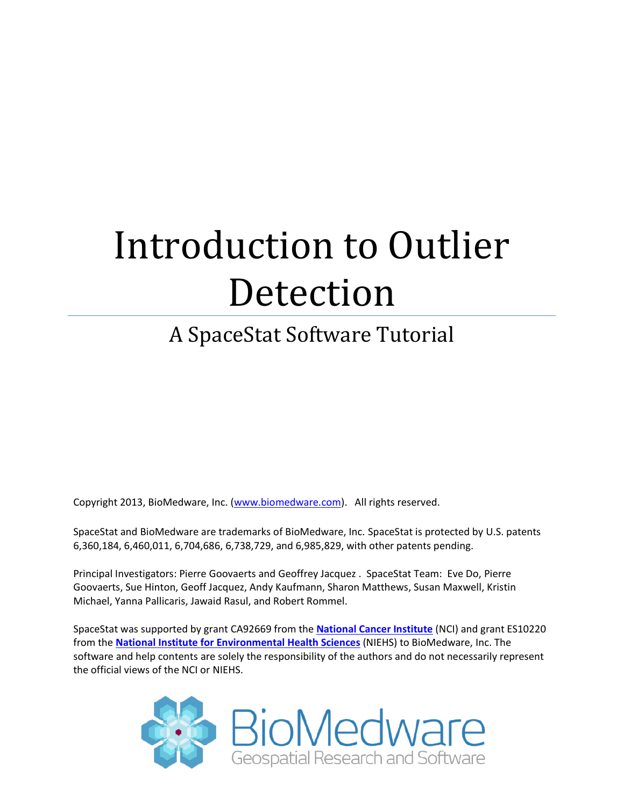# Introduction to Outlier Detection

# A SpaceStat Software Tutorial

Copyright 2013, BioMedware, Inc. [\(www.biomedware.com\)](http://www.biomedware.com/). All rights reserved.

SpaceStat and BioMedware are trademarks of BioMedware, Inc. SpaceStat is protected by U.S. patents 6,360,184, 6,460,011, 6,704,686, 6,738,729, and 6,985,829, with other patents pending.

Principal Investigators: Pierre Goovaerts and Geoffrey Jacquez . SpaceStat Team: Eve Do, Pierre Goovaerts, Sue Hinton, Geoff Jacquez, Andy Kaufmann, Sharon Matthews, Susan Maxwell, Kristin Michael, Yanna Pallicaris, Jawaid Rasul, and Robert Rommel.

SpaceStat was supported by grant CA92669 from the **[National Cancer Institute](http://www.nci.nih.gov/)** (NCI) and grant ES10220 from the **[National Institute for Environmental Health Sciences](http://www.niehs.nih.gov/)** (NIEHS) to BioMedware, Inc. The software and help contents are solely the responsibility of the authors and do not necessarily represent the official views of the NCI or NIEHS.

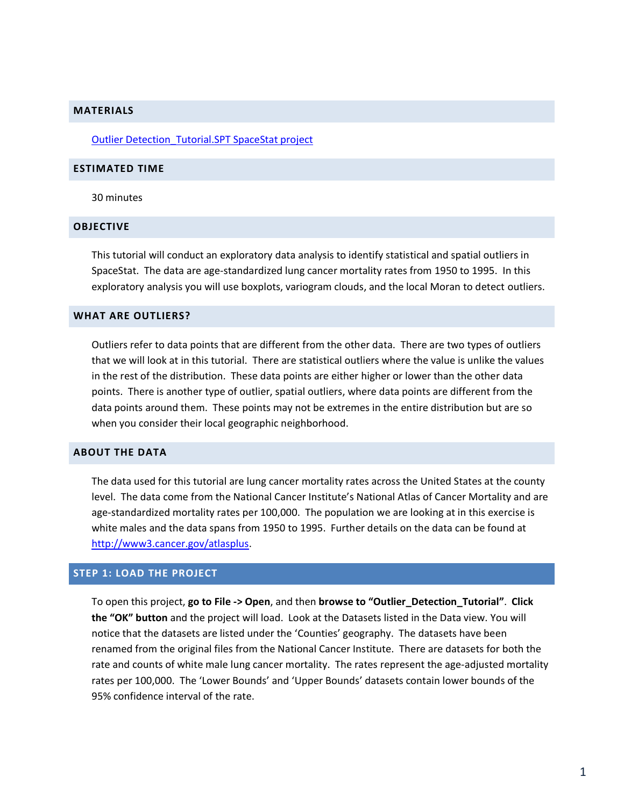#### **MATERIALS**

Outlier [Detection\\_Tutorial.SPT SpaceStat project](http://www.biomedware.com/subdomains/biomed/files/tutorials/OuutlierDetection/Outlier_Detection_Tutorial.spt)

#### **ESTIMATED TIME**

30 minutes

#### **OBJECTIVE**

This tutorial will conduct an exploratory data analysis to identify statistical and spatial outliers in SpaceStat. The data are age-standardized lung cancer mortality rates from 1950 to 1995. In this exploratory analysis you will use boxplots, variogram clouds, and the local Moran to detect outliers.

#### **WHAT ARE OUTLIERS?**

Outliers refer to data points that are different from the other data. There are two types of outliers that we will look at in this tutorial. There are statistical outliers where the value is unlike the values in the rest of the distribution. These data points are either higher or lower than the other data points. There is another type of outlier, spatial outliers, where data points are different from the data points around them. These points may not be extremes in the entire distribution but are so when you consider their local geographic neighborhood.

#### **ABOUT THE DATA**

The data used for this tutorial are lung cancer mortality rates across the United States at the county level. The data come from the National Cancer Institute's National Atlas of Cancer Mortality and are age-standardized mortality rates per 100,000. The population we are looking at in this exercise is white males and the data spans from 1950 to 1995. Further details on the data can be found at [http://www3.cancer.gov/atlasplus.](http://www3.cancer.gov/atlasplus)

#### **STEP 1: LOAD THE PROJECT**

To open this project, **go to File -> Open**, and then **browse to "Outlier\_Detection\_Tutorial"**. **Click the "OK" button** and the project will load. Look at the Datasets listed in the Data view. You will notice that the datasets are listed under the 'Counties' geography. The datasets have been renamed from the original files from the National Cancer Institute. There are datasets for both the rate and counts of white male lung cancer mortality. The rates represent the age-adjusted mortality rates per 100,000. The 'Lower Bounds' and 'Upper Bounds' datasets contain lower bounds of the 95% confidence interval of the rate.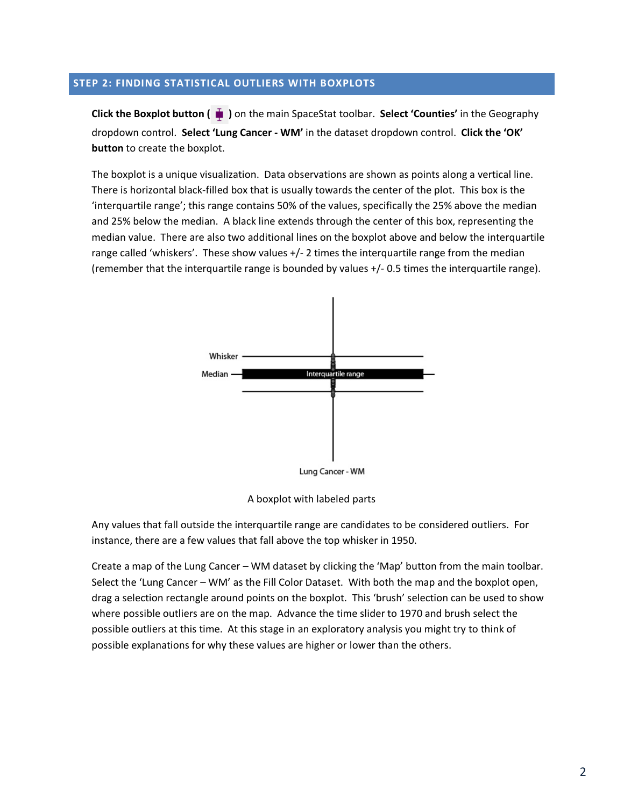# **STEP 2: FINDING STATISTICAL OUTLIERS WITH BOXPLOTS**

**Click the Boxplot button ( )** on the main SpaceStat toolbar. **Select 'Counties'** in the Geography dropdown control. **Select 'Lung Cancer - WM'** in the dataset dropdown control. **Click the 'OK' button** to create the boxplot.

The boxplot is a unique visualization. Data observations are shown as points along a vertical line. There is horizontal black-filled box that is usually towards the center of the plot. This box is the 'interquartile range'; this range contains 50% of the values, specifically the 25% above the median and 25% below the median. A black line extends through the center of this box, representing the median value. There are also two additional lines on the boxplot above and below the interquartile range called 'whiskers'. These show values +/- 2 times the interquartile range from the median (remember that the interquartile range is bounded by values +/- 0.5 times the interquartile range).



A boxplot with labeled parts

Any values that fall outside the interquartile range are candidates to be considered outliers. For instance, there are a few values that fall above the top whisker in 1950.

Create a map of the Lung Cancer – WM dataset by clicking the 'Map' button from the main toolbar. Select the 'Lung Cancer – WM' as the Fill Color Dataset. With both the map and the boxplot open, drag a selection rectangle around points on the boxplot. This 'brush' selection can be used to show where possible outliers are on the map. Advance the time slider to 1970 and brush select the possible outliers at this time. At this stage in an exploratory analysis you might try to think of possible explanations for why these values are higher or lower than the others.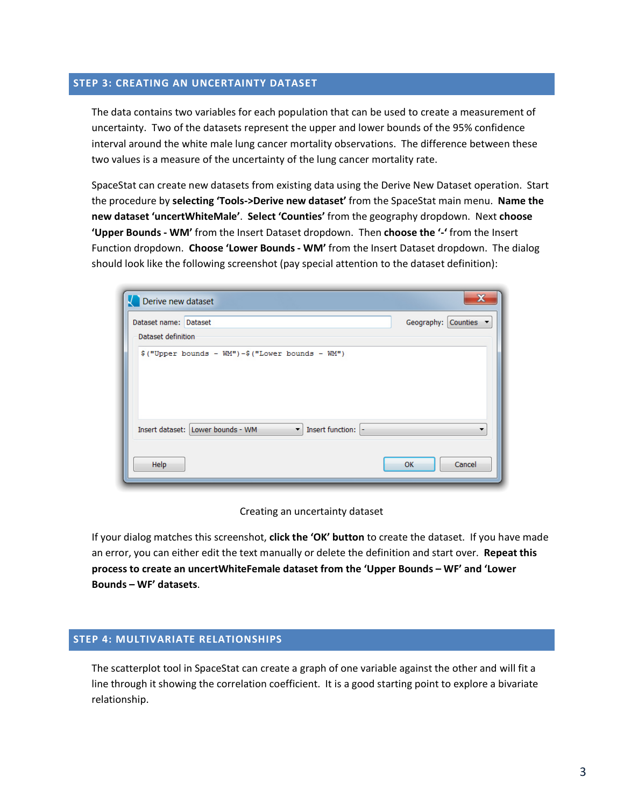## **STEP 3: CREATING AN UNCERTAINTY DATASET**

The data contains two variables for each population that can be used to create a measurement of uncertainty. Two of the datasets represent the upper and lower bounds of the 95% confidence interval around the white male lung cancer mortality observations. The difference between these two values is a measure of the uncertainty of the lung cancer mortality rate.

SpaceStat can create new datasets from existing data using the Derive New Dataset operation. Start the procedure by **selecting 'Tools->Derive new dataset'** from the SpaceStat main menu. **Name the new dataset 'uncertWhiteMale'**. **Select 'Counties'** from the geography dropdown. Next **choose 'Upper Bounds - WM'** from the Insert Dataset dropdown. Then **choose the '-'** from the Insert Function dropdown. **Choose 'Lower Bounds - WM'** from the Insert Dataset dropdown. The dialog should look like the following screenshot (pay special attention to the dataset definition):

| Derive new dataset    |                                                         | x                   |  |  |  |  |
|-----------------------|---------------------------------------------------------|---------------------|--|--|--|--|
| Dataset name: Dataset |                                                         | Geography: Counties |  |  |  |  |
| Dataset definition    |                                                         |                     |  |  |  |  |
|                       | $$("Upper bounds - WM") - $("Lower bounds - WM")$       |                     |  |  |  |  |
|                       | Insert dataset: Lower bounds - WM<br>Insert function: - |                     |  |  |  |  |
| Help                  |                                                         | Cancel<br>OK        |  |  |  |  |

Creating an uncertainty dataset

If your dialog matches this screenshot, **click the 'OK' button** to create the dataset. If you have made an error, you can either edit the text manually or delete the definition and start over. **Repeat this process to create an uncertWhiteFemale dataset from the 'Upper Bounds – WF' and 'Lower Bounds – WF' datasets**.

## **STEP 4: MULTIVARIATE RELATIONSHIPS**

The scatterplot tool in SpaceStat can create a graph of one variable against the other and will fit a line through it showing the correlation coefficient. It is a good starting point to explore a bivariate relationship.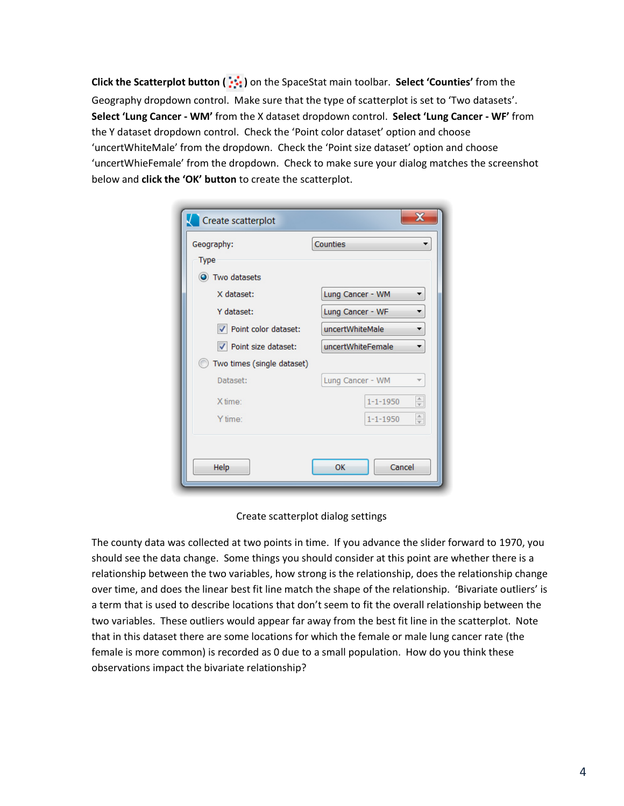**Click the Scatterplot button ( )** on the SpaceStat main toolbar. **Select 'Counties'** from the Geography dropdown control. Make sure that the type of scatterplot is set to 'Two datasets'. **Select 'Lung Cancer - WM'** from the X dataset dropdown control. **Select 'Lung Cancer - WF'** from the Y dataset dropdown control. Check the 'Point color dataset' option and choose 'uncertWhiteMale' from the dropdown. Check the 'Point size dataset' option and choose 'uncertWhieFemale' from the dropdown. Check to make sure your dialog matches the screenshot below and **click the 'OK' button** to create the scatterplot.

| Create scatterplot         | х                                                   |  |  |  |  |
|----------------------------|-----------------------------------------------------|--|--|--|--|
| Geography:                 | Counties                                            |  |  |  |  |
| <b>Type</b>                |                                                     |  |  |  |  |
| O Two datasets             |                                                     |  |  |  |  |
| X dataset:                 | Lung Cancer - WM                                    |  |  |  |  |
| Y dataset:                 | Lung Cancer - WF                                    |  |  |  |  |
| Point color dataset:       | uncertWhiteMale<br>▼                                |  |  |  |  |
| √ Point size dataset:      | uncertWhiteFemale                                   |  |  |  |  |
| Two times (single dataset) |                                                     |  |  |  |  |
| Dataset:                   | Lung Cancer - WM                                    |  |  |  |  |
| X time:                    | $\frac{\triangle}{\triangledown}$<br>$1 - 1 - 1950$ |  |  |  |  |
| Y time:                    | $\frac{\triangle}{\mathbf{v}}$<br>$1 - 1 - 1950$    |  |  |  |  |
| Help                       | Cancel<br>OK                                        |  |  |  |  |

Create scatterplot dialog settings

The county data was collected at two points in time. If you advance the slider forward to 1970, you should see the data change. Some things you should consider at this point are whether there is a relationship between the two variables, how strong is the relationship, does the relationship change over time, and does the linear best fit line match the shape of the relationship. 'Bivariate outliers' is a term that is used to describe locations that don't seem to fit the overall relationship between the two variables. These outliers would appear far away from the best fit line in the scatterplot. Note that in this dataset there are some locations for which the female or male lung cancer rate (the female is more common) is recorded as 0 due to a small population. How do you think these observations impact the bivariate relationship?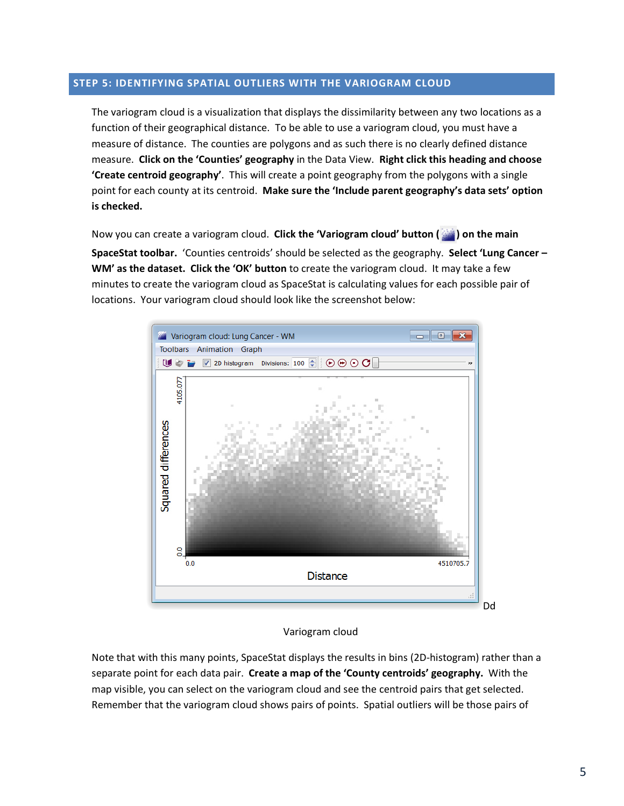## **STEP 5: IDENTIFYING SPATIAL OUTLIERS WITH THE VARIOGRAM CLOUD**

The variogram cloud is a visualization that displays the dissimilarity between any two locations as a function of their geographical distance. To be able to use a variogram cloud, you must have a measure of distance. The counties are polygons and as such there is no clearly defined distance measure. **Click on the 'Counties' geography** in the Data View. **Right click this heading and choose 'Create centroid geography'**. This will create a point geography from the polygons with a single point for each county at its centroid. **Make sure the 'Include parent geography's data sets' option is checked.**

Now you can create a variogram cloud. **Click the 'Variogram cloud' button ( ) on the main SpaceStat toolbar.** 'Counties centroids' should be selected as the geography. **Select 'Lung Cancer – WM' as the dataset. Click the 'OK' button** to create the variogram cloud. It may take a few minutes to create the variogram cloud as SpaceStat is calculating values for each possible pair of locations. Your variogram cloud should look like the screenshot below:



#### Variogram cloud

Note that with this many points, SpaceStat displays the results in bins (2D-histogram) rather than a separate point for each data pair. **Create a map of the 'County centroids' geography.** With the map visible, you can select on the variogram cloud and see the centroid pairs that get selected. Remember that the variogram cloud shows pairs of points. Spatial outliers will be those pairs of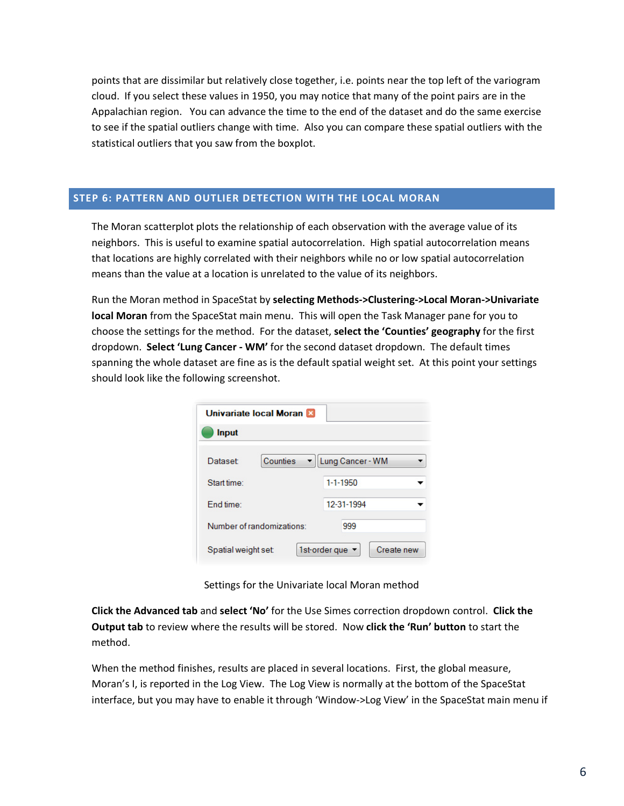points that are dissimilar but relatively close together, i.e. points near the top left of the variogram cloud. If you select these values in 1950, you may notice that many of the point pairs are in the Appalachian region. You can advance the time to the end of the dataset and do the same exercise to see if the spatial outliers change with time. Also you can compare these spatial outliers with the statistical outliers that you saw from the boxplot.

# **STEP 6: PATTERN AND OUTLIER DETECTION WITH THE LOCAL MORAN**

The Moran scatterplot plots the relationship of each observation with the average value of its neighbors. This is useful to examine spatial autocorrelation. High spatial autocorrelation means that locations are highly correlated with their neighbors while no or low spatial autocorrelation means than the value at a location is unrelated to the value of its neighbors.

Run the Moran method in SpaceStat by **selecting Methods->Clustering->Local Moran->Univariate local Moran** from the SpaceStat main menu. This will open the Task Manager pane for you to choose the settings for the method. For the dataset, **select the 'Counties' geography** for the first dropdown. **Select 'Lung Cancer - WM'** for the second dataset dropdown. The default times spanning the whole dataset are fine as is the default spatial weight set. At this point your settings should look like the following screenshot.

| Univariate local Moran    |                             |  |  |  |
|---------------------------|-----------------------------|--|--|--|
| <b>Input</b>              |                             |  |  |  |
| Counties<br>Dataset:      | Lung Cancer - WM            |  |  |  |
| Start time:               | $1 - 1 - 1950$              |  |  |  |
| End time:                 | 12-31-1994                  |  |  |  |
| Number of randomizations: | 999                         |  |  |  |
| Spatial weight set:       | 1st-order que<br>Create new |  |  |  |

Settings for the Univariate local Moran method

**Click the Advanced tab** and **select 'No'** for the Use Simes correction dropdown control. **Click the Output tab** to review where the results will be stored. Now **click the 'Run' button** to start the method.

When the method finishes, results are placed in several locations. First, the global measure, Moran's I, is reported in the Log View. The Log View is normally at the bottom of the SpaceStat interface, but you may have to enable it through 'Window->Log View' in the SpaceStat main menu if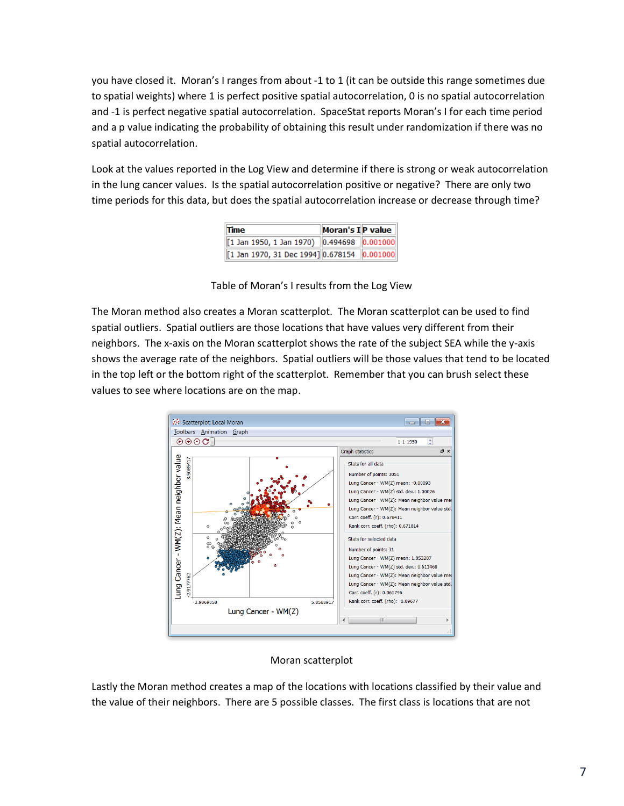you have closed it. Moran's I ranges from about -1 to 1 (it can be outside this range sometimes due to spatial weights) where 1 is perfect positive spatial autocorrelation, 0 is no spatial autocorrelation and -1 is perfect negative spatial autocorrelation. SpaceStat reports Moran's I for each time period and a p value indicating the probability of obtaining this result under randomization if there was no spatial autocorrelation.

Look at the values reported in the Log View and determine if there is strong or weak autocorrelation in the lung cancer values. Is the spatial autocorrelation positive or negative? There are only two time periods for this data, but does the spatial autocorrelation increase or decrease through time?

| <b>Time</b>                                 | Moran's I P value |  |
|---------------------------------------------|-------------------|--|
| [1 Jan 1950, 1 Jan 1970) 0.494698 0.001000  |                   |  |
| [1 Jan 1970, 31 Dec 1994] 0.678154 0.001000 |                   |  |

Table of Moran's I results from the Log View

The Moran method also creates a Moran scatterplot. The Moran scatterplot can be used to find spatial outliers. Spatial outliers are those locations that have values very different from their neighbors. The x-axis on the Moran scatterplot shows the rate of the subject SEA while the y-axis shows the average rate of the neighbors. Spatial outliers will be those values that tend to be located in the top left or the bottom right of the scatterplot. Remember that you can brush select these values to see where locations are on the map.



# Moran scatterplot

Lastly the Moran method creates a map of the locations with locations classified by their value and the value of their neighbors. There are 5 possible classes. The first class is locations that are not